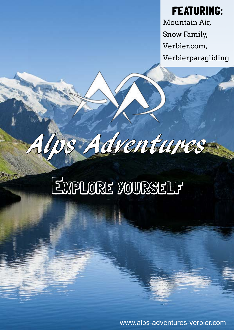FEATURING: Mountain Air, Snow Family, Verbier.com, Verbierparagliding

# Explore yourself

Alps Adventures

www.alps-adventures-verbier.com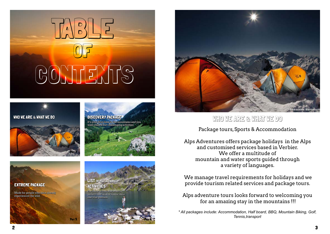

PAGE<sub>5</sub>









Made for people who have already experienced the wild.







Package tours, Sports & Accommodation

Alps Adventures offers package holidays in the Alps and customised services based in Verbier. We offer a multitude of mountain and water sports guided through a variety of languages.

 We manage travel requirements for holidays and we provide tourism related services and package tours.

Alps adventure tours looks forward to welcoming you for an amazing stay in the mountains !!!

WHO WE ARE & WHAT WE DO

*\* All packages include: Accommodation, Half board, BBQ, Mountain Biking, Golf, Tennis,transport*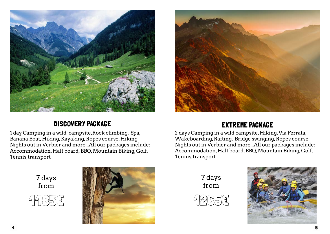

## DISCOVERY PACKAGE

7 days from







1 day Camping in a wild campsite,Rock climbing, Spa, Banana Boat, Hiking, Kayaking, Ropes course, Hiking Nights out in Verbier and more...All our packages include: Accommodation, Half board, BBQ, Mountain Biking, Golf, Tennis,transport



### EXTREME PACKAGE

2 days Camping in a wild campsite, Hiking, Via Ferrata, Wakeboarding, Rafting, Bridge swinging, Ropes course, Nights out in Verbier and more...All our packages include: Accommodation, Half board, BBQ, Mountain Biking, Golf, Tennis,transport